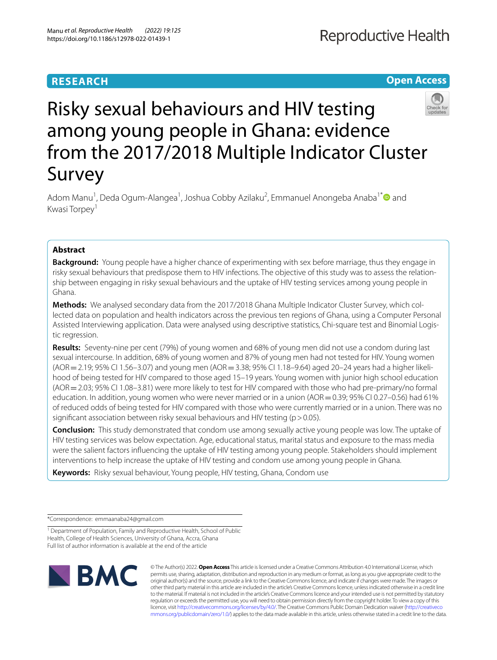# **RESEARCH**

**Open Access**

# Risky sexual behaviours and HIV testing among young people in Ghana: evidence from the 2017/2018 Multiple Indicator Cluster Survey

Adom Manu<sup>1</sup>, Deda Ogum-Alangea<sup>1</sup>, Joshua Cobby Azilaku<sup>2</sup>, Emmanuel Anongeba Anaba<sup>1\*</sup> and Kwasi Torpey<sup>1</sup>

## **Abstract**

**Background:** Young people have a higher chance of experimenting with sex before marriage, thus they engage in risky sexual behaviours that predispose them to HIV infections. The objective of this study was to assess the relationship between engaging in risky sexual behaviours and the uptake of HIV testing services among young people in Ghana.

**Methods:** We analysed secondary data from the 2017/2018 Ghana Multiple Indicator Cluster Survey, which col‑ lected data on population and health indicators across the previous ten regions of Ghana, using a Computer Personal Assisted Interviewing application. Data were analysed using descriptive statistics, Chi-square test and Binomial Logistic regression.

**Results:** Seventy-nine per cent (79%) of young women and 68% of young men did not use a condom during last sexual intercourse. In addition, 68% of young women and 87% of young men had not tested for HIV. Young women (AOR = 2.19; 95% CI 1.56–3.07) and young men (AOR = 3.38; 95% CI 1.18–9.64) aged 20–24 years had a higher likelihood of being tested for HIV compared to those aged 15–19 years. Young women with junior high school education (AOR=2.03; 95% CI 1.08–3.81) were more likely to test for HIV compared with those who had pre-primary/no formal education. In addition, young women who were never married or in a union (AOR  $=$  0.39; 95% CI 0.27–0.56) had 61% of reduced odds of being tested for HIV compared with those who were currently married or in a union. There was no significant association between risky sexual behaviours and HIV testing ( $p > 0.05$ ).

**Conclusion:** This study demonstrated that condom use among sexually active young people was low. The uptake of HIV testing services was below expectation. Age, educational status, marital status and exposure to the mass media were the salient factors infuencing the uptake of HIV testing among young people. Stakeholders should implement interventions to help increase the uptake of HIV testing and condom use among young people in Ghana.

**Keywords:** Risky sexual behaviour, Young people, HIV testing, Ghana, Condom use

\*Correspondence: emmaanaba24@gmail.com

<sup>1</sup> Department of Population, Family and Reproductive Health, School of Public Health, College of Health Sciences, University of Ghana, Accra, Ghana Full list of author information is available at the end of the article



© The Author(s) 2022. **Open Access** This article is licensed under a Creative Commons Attribution 4.0 International License, which permits use, sharing, adaptation, distribution and reproduction in any medium or format, as long as you give appropriate credit to the original author(s) and the source, provide a link to the Creative Commons licence, and indicate if changes were made. The images or other third party material in this article are included in the article's Creative Commons licence, unless indicated otherwise in a credit line to the material. If material is not included in the article's Creative Commons licence and your intended use is not permitted by statutory regulation or exceeds the permitted use, you will need to obtain permission directly from the copyright holder. To view a copy of this licence, visit [http://creativecommons.org/licenses/by/4.0/.](http://creativecommons.org/licenses/by/4.0/) The Creative Commons Public Domain Dedication waiver ([http://creativeco](http://creativecommons.org/publicdomain/zero/1.0/) [mmons.org/publicdomain/zero/1.0/](http://creativecommons.org/publicdomain/zero/1.0/)) applies to the data made available in this article, unless otherwise stated in a credit line to the data.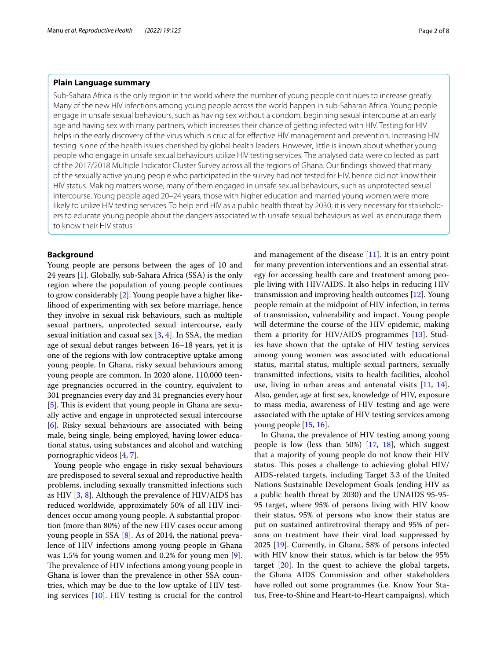## **Plain Language summary**

Sub-Sahara Africa is the only region in the world where the number of young people continues to increase greatly. Many of the new HIV infections among young people across the world happen in sub-Saharan Africa. Young people engage in unsafe sexual behaviours, such as having sex without a condom, beginning sexual intercourse at an early age and having sex with many partners, which increases their chance of getting infected with HIV. Testing for HIV helps in the early discovery of the virus which is crucial for effective HIV management and prevention. Increasing HIV testing is one of the health issues cherished by global health leaders. However, little is known about whether young people who engage in unsafe sexual behaviours utilize HIV testing services. The analysed data were collected as part of the 2017/2018 Multiple Indicator Cluster Survey across all the regions of Ghana. Our fndings showed that many of the sexually active young people who participated in the survey had not tested for HIV, hence did not know their HIV status. Making matters worse, many of them engaged in unsafe sexual behaviours, such as unprotected sexual intercourse. Young people aged 20–24 years, those with higher education and married young women were more likely to utilize HIV testing services. To help end HIV as a public health threat by 2030, it is very necessary for stakeholders to educate young people about the dangers associated with unsafe sexual behaviours as well as encourage them to know their HIV status.

## **Background**

Young people are persons between the ages of 10 and 24 years [[1\]](#page-7-0). Globally, sub-Sahara Africa (SSA) is the only region where the population of young people continues to grow considerably [[2\]](#page-7-1). Young people have a higher likelihood of experimenting with sex before marriage, hence they involve in sexual risk behaviours, such as multiple sexual partners, unprotected sexual intercourse, early sexual initiation and casual sex  $[3, 4]$  $[3, 4]$  $[3, 4]$  $[3, 4]$ . In SSA, the median age of sexual debut ranges between 16–18 years, yet it is one of the regions with low contraceptive uptake among young people. In Ghana, risky sexual behaviours among young people are common. In 2020 alone, 110,000 teenage pregnancies occurred in the country, equivalent to 301 pregnancies every day and 31 pregnancies every hour [[5\]](#page-7-4). This is evident that young people in Ghana are sexually active and engage in unprotected sexual intercourse [[6\]](#page-7-5). Risky sexual behaviours are associated with being male, being single, being employed, having lower educational status, using substances and alcohol and watching pornographic videos [\[4](#page-7-3), [7\]](#page-7-6).

Young people who engage in risky sexual behaviours are predisposed to several sexual and reproductive health problems, including sexually transmitted infections such as HIV [[3,](#page-7-2) [8\]](#page-7-7). Although the prevalence of HIV/AIDS has reduced worldwide, approximately 50% of all HIV incidences occur among young people. A substantial proportion (more than 80%) of the new HIV cases occur among young people in SSA [\[8](#page-7-7)]. As of 2014, the national prevalence of HIV infections among young people in Ghana was 1.5% for young women and 0.2% for young men [\[9](#page-7-8)]. The prevalence of HIV infections among young people in Ghana is lower than the prevalence in other SSA countries, which may be due to the low uptake of HIV testing services [\[10\]](#page-7-9). HIV testing is crucial for the control and management of the disease  $[11]$  $[11]$ . It is an entry point for many prevention interventions and an essential strategy for accessing health care and treatment among people living with HIV/AIDS. It also helps in reducing HIV transmission and improving health outcomes [\[12\]](#page-7-11). Young people remain at the midpoint of HIV infection, in terms of transmission, vulnerability and impact. Young people will determine the course of the HIV epidemic, making them a priority for HIV/AIDS programmes [[13\]](#page-7-12). Studies have shown that the uptake of HIV testing services among young women was associated with educational status, marital status, multiple sexual partners, sexually transmitted infections, visits to health facilities, alcohol use, living in urban areas and antenatal visits  $[11, 14]$  $[11, 14]$  $[11, 14]$  $[11, 14]$ . Also, gender, age at frst sex, knowledge of HIV, exposure to mass media, awareness of HIV testing and age were associated with the uptake of HIV testing services among young people [\[15,](#page-7-14) [16](#page-7-15)].

In Ghana, the prevalence of HIV testing among young people is low (less than 50%) [[17,](#page-7-16) [18\]](#page-7-17), which suggest that a majority of young people do not know their HIV status. This poses a challenge to achieving global HIV/ AIDS-related targets, including Target 3.3 of the United Nations Sustainable Development Goals (ending HIV as a public health threat by 2030) and the UNAIDS 95-95- 95 target, where 95% of persons living with HIV know their status, 95% of persons who know their status are put on sustained antiretroviral therapy and 95% of persons on treatment have their viral load suppressed by 2025 [[19\]](#page-7-18). Currently, in Ghana, 58% of persons infected with HIV know their status, which is far below the 95% target  $[20]$  $[20]$ . In the quest to achieve the global targets, the Ghana AIDS Commission and other stakeholders have rolled out some programmes (i.e. Know Your Status, Free-to-Shine and Heart-to-Heart campaigns), which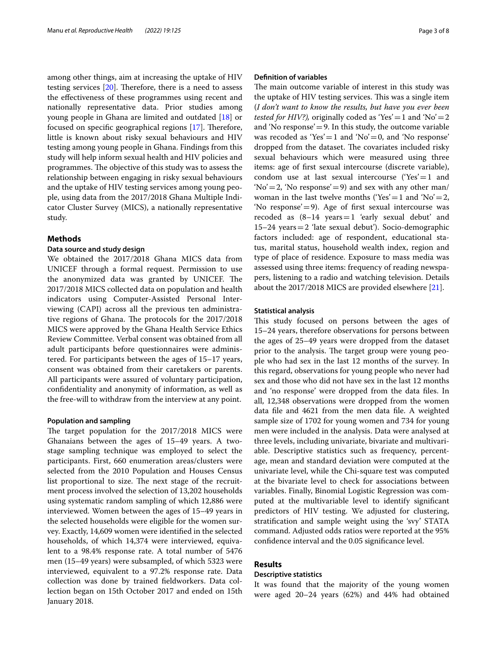among other things, aim at increasing the uptake of HIV testing services  $[20]$  $[20]$ . Therefore, there is a need to assess the efectiveness of these programmes using recent and nationally representative data. Prior studies among young people in Ghana are limited and outdated [[18](#page-7-17)] or focused on specific geographical regions  $[17]$  $[17]$ . Therefore, little is known about risky sexual behaviours and HIV testing among young people in Ghana. Findings from this study will help inform sexual health and HIV policies and programmes. The objective of this study was to assess the relationship between engaging in risky sexual behaviours and the uptake of HIV testing services among young people, using data from the 2017/2018 Ghana Multiple Indicator Cluster Survey (MICS), a nationally representative study.

## **Methods**

## **Data source and study design**

We obtained the 2017/2018 Ghana MICS data from UNICEF through a formal request. Permission to use the anonymized data was granted by UNICEF. The 2017/2018 MICS collected data on population and health indicators using Computer-Assisted Personal Interviewing (CAPI) across all the previous ten administrative regions of Ghana. The protocols for the 2017/2018 MICS were approved by the Ghana Health Service Ethics Review Committee. Verbal consent was obtained from all adult participants before questionnaires were administered. For participants between the ages of 15–17 years, consent was obtained from their caretakers or parents. All participants were assured of voluntary participation, confdentiality and anonymity of information, as well as the free-will to withdraw from the interview at any point.

#### **Population and sampling**

The target population for the 2017/2018 MICS were Ghanaians between the ages of 15–49 years. A twostage sampling technique was employed to select the participants. First, 660 enumeration areas/clusters were selected from the 2010 Population and Houses Census list proportional to size. The next stage of the recruitment process involved the selection of 13,202 households using systematic random sampling of which 12,886 were interviewed. Women between the ages of 15–49 years in the selected households were eligible for the women survey. Exactly, 14,609 women were identifed in the selected households, of which 14,374 were interviewed, equivalent to a 98.4% response rate. A total number of 5476 men (15–49 years) were subsampled, of which 5323 were interviewed, equivalent to a 97.2% response rate. Data collection was done by trained feldworkers. Data collection began on 15th October 2017 and ended on 15th January 2018.

## **Defnition of variables**

The main outcome variable of interest in this study was the uptake of HIV testing services. This was a single item (*I don't want to know the results, but have you ever been tested for HIV?)*, originally coded as 'Yes' = 1 and 'No' = 2 and 'No response'  $=$  9. In this study, the outcome variable was recoded as 'Yes' = 1 and 'No' = 0, and 'No response' dropped from the dataset. The covariates included risky sexual behaviours which were measured using three items: age of frst sexual intercourse (discrete variable), condom use at last sexual intercourse ('Yes' = 1 and  $'No' = 2$ , 'No response' = 9) and sex with any other man/ woman in the last twelve months ('Yes' = 1 and 'No' = 2, 'No response'=9). Age of frst sexual intercourse was recoded as  $(8-14 \text{ years} = 1 \text{ 'early sexual debut' and}$ 15–24 years=2 'late sexual debut'). Socio-demographic factors included: age of respondent, educational status, marital status, household wealth index, region and type of place of residence. Exposure to mass media was assessed using three items: frequency of reading newspapers, listening to a radio and watching television. Details about the 2017/2018 MICS are provided elsewhere [\[21](#page-7-20)].

#### **Statistical analysis**

This study focused on persons between the ages of 15–24 years, therefore observations for persons between the ages of 25–49 years were dropped from the dataset prior to the analysis. The target group were young people who had sex in the last 12 months of the survey. In this regard, observations for young people who never had sex and those who did not have sex in the last 12 months and 'no response' were dropped from the data fles. In all, 12,348 observations were dropped from the women data fle and 4621 from the men data fle. A weighted sample size of 1702 for young women and 734 for young men were included in the analysis. Data were analysed at three levels, including univariate, bivariate and multivariable. Descriptive statistics such as frequency, percentage, mean and standard deviation were computed at the univariate level, while the Chi-square test was computed at the bivariate level to check for associations between variables. Finally, Binomial Logistic Regression was computed at the multivariable level to identify signifcant predictors of HIV testing. We adjusted for clustering, stratifcation and sample weight using the 'svy' STATA command. Adjusted odds ratios were reported at the 95% confdence interval and the 0.05 signifcance level.

## **Results**

## **Descriptive statistics**

It was found that the majority of the young women were aged 20–24 years (62%) and 44% had obtained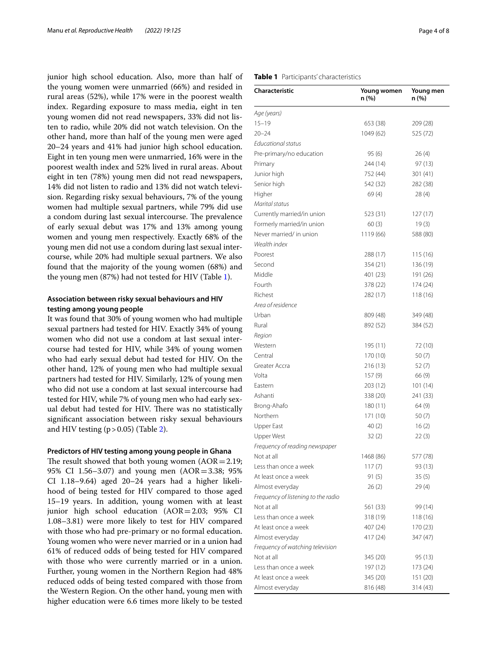junior high school education. Also, more than half of the young women were unmarried (66%) and resided in rural areas (52%), while 17% were in the poorest wealth index. Regarding exposure to mass media, eight in ten young women did not read newspapers, 33% did not listen to radio, while 20% did not watch television. On the other hand, more than half of the young men were aged 20–24 years and 41% had junior high school education. Eight in ten young men were unmarried, 16% were in the poorest wealth index and 52% lived in rural areas. About eight in ten (78%) young men did not read newspapers, 14% did not listen to radio and 13% did not watch television. Regarding risky sexual behaviours, 7% of the young women had multiple sexual partners, while 79% did use a condom during last sexual intercourse. The prevalence of early sexual debut was 17% and 13% among young women and young men respectively. Exactly 68% of the young men did not use a condom during last sexual intercourse, while 20% had multiple sexual partners. We also found that the majority of the young women (68%) and the young men (87%) had not tested for HIV (Table [1\)](#page-3-0).

## **Association between risky sexual behaviours and HIV testing among young people**

It was found that 30% of young women who had multiple sexual partners had tested for HIV. Exactly 34% of young women who did not use a condom at last sexual intercourse had tested for HIV, while 34% of young women who had early sexual debut had tested for HIV. On the other hand, 12% of young men who had multiple sexual partners had tested for HIV. Similarly, 12% of young men who did not use a condom at last sexual intercourse had tested for HIV, while 7% of young men who had early sexual debut had tested for HIV. There was no statistically signifcant association between risky sexual behaviours and HIV testing  $(p > 0.05)$  (Table [2\)](#page-4-0).

## **Predictors of HIV testing among young people in Ghana**

The result showed that both young women  $(AOR = 2.19;$ 95% CI 1.56–3.07) and young men (AOR=3.38; 95% CI 1.18–9.64) aged 20–24 years had a higher likelihood of being tested for HIV compared to those aged 15–19 years. In addition, young women with at least junior high school education (AOR=2.03; 95% CI 1.08–3.81) were more likely to test for HIV compared with those who had pre-primary or no formal education. Young women who were never married or in a union had 61% of reduced odds of being tested for HIV compared with those who were currently married or in a union. Further, young women in the Northern Region had 48% reduced odds of being tested compared with those from the Western Region. On the other hand, young men with higher education were 6.6 times more likely to be tested

## <span id="page-3-0"></span>**Table 1** Participants' characteristics

| Characteristic                      | Young women<br>n (%) | Young men<br>n (%) |
|-------------------------------------|----------------------|--------------------|
| Age (years)                         |                      |                    |
| $15 - 19$                           | 653 (38)             | 209 (28)           |
| $20 - 24$                           | 1049 (62)            | 525 (72)           |
| Educational status                  |                      |                    |
| Pre-primary/no education            | 95 (6)               | 26(4)              |
| Primary                             | 244 (14)             | 97 (13)            |
| Junior high                         | 752 (44)             | 301 (41)           |
| Senior high                         | 542 (32)             | 282 (38)           |
| Higher                              | 69(4)                | 28 (4)             |
| Marital status                      |                      |                    |
| Currently married/in union          | 523 (31)             | 127 (17)           |
| Formerly married/in union           | 60(3)                | 19 (3)             |
| Never married/ in union             | 1119 (66)            | 588 (80)           |
| Wealth index                        |                      |                    |
| Poorest                             | 288 (17)             | 115 (16)           |
| Second                              | 354 (21)             | 136 (19)           |
| Middle                              | 401 (23)             | 191 (26)           |
| Fourth                              | 378 (22)             | 174 (24)           |
| Richest                             | 282 (17)             | 118 (16)           |
| Area of residence                   |                      |                    |
| Urban                               | 809 (48)             | 349 (48)           |
| Rural                               | 892 (52)             | 384 (52)           |
| Region                              |                      |                    |
| Western                             | 195 (11)             | 72 (10)            |
| Central                             | 170 (10)             | 50(7)              |
| Greater Accra                       | 216 (13)             | 52 (7)             |
| Volta                               | 157 (9)              | 66 (9)             |
| Eastern                             | 203 (12)             | 101(14)            |
| Ashanti                             | 338 (20)             | 241 (33)           |
| Brong-Ahafo                         | 180 (11)             | 64 (9)             |
| Northern                            | 171 (10)             | 50(7)              |
| Upper East                          | 40 (2)               | 16(2)              |
| Upper West                          | 32(2)                | 22(3)              |
| Frequency of reading newspaper      |                      |                    |
| Not at all                          | 1468 (86)            | 577 (78)           |
| Less than once a week               | 117(7)               | 93 (13)            |
| At least once a week                | 91 (5)               | 35(5)              |
| Almost everyday                     | 26(2)                | 29 (4)             |
| Frequency of listening to the radio |                      |                    |
| Not at all                          | 561 (33)             | 99 (14)            |
| Less than once a week               | 318 (19)             | 118 (16)           |
| At least once a week                | 407 (24)             | 170 (23)           |
| Almost everyday                     | 417 (24)             | 347 (47)           |
| Frequency of watching television    |                      |                    |
| Not at all                          | 345 (20)             | 95 (13)            |
| Less than once a week               | 197 (12)             | 173 (24)           |
| At least once a week                | 345 (20)             | 151 (20)           |
| Almost everyday                     | 816 (48)             | 314 (43)           |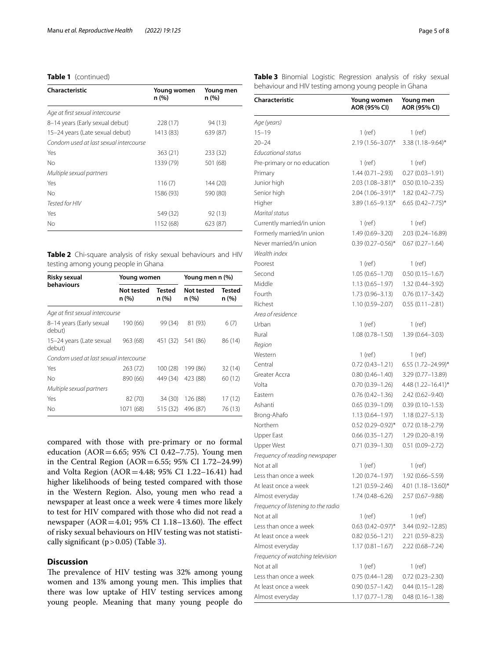## **Table 1** (continued)

| Characteristic                         | Young women<br>n (%) | Young men<br>n(%) |  |  |  |
|----------------------------------------|----------------------|-------------------|--|--|--|
| Age at first sexual intercourse        |                      |                   |  |  |  |
| 8-14 years (Early sexual debut)        | 228 (17)             | 94 (13)           |  |  |  |
| 15-24 years (Late sexual debut)        | 1413 (83)            | 639 (87)          |  |  |  |
| Condom used at last sexual intercourse |                      |                   |  |  |  |
| Yes                                    | 363(21)              | 233 (32)          |  |  |  |
| No                                     | 1339 (79)            | 501 (68)          |  |  |  |
| Multiple sexual partners               |                      |                   |  |  |  |
| Yes                                    | 116(7)               | 144 (20)          |  |  |  |
| No                                     | 1586 (93)            | 590 (80)          |  |  |  |
| Tested for HIV                         |                      |                   |  |  |  |
| Yes                                    | 549 (32)             | 92(13)            |  |  |  |
| No                                     | 1152 (68)            | 623 (87)          |  |  |  |

<span id="page-4-0"></span>**Table 2** Chi-square analysis of risky sexual behaviours and HIV testing among young people in Ghana

| Risky sexual                           | Young women         |                        | Young men n (%)            |                       |
|----------------------------------------|---------------------|------------------------|----------------------------|-----------------------|
| behaviours                             | Not tested<br>n (%) | <b>Tested</b><br>n (%) | <b>Not tested</b><br>n (%) | <b>Tested</b><br>n(%) |
| Age at first sexual intercourse        |                     |                        |                            |                       |
| 8-14 years (Early sexual<br>debut)     | 190 (66)            | 99 (34)                | 81 (93)                    | 6(7)                  |
| 15-24 years (Late sexual<br>debut)     | 963 (68)            | 451 (32)               | 541 (86)                   | 86 (14)               |
| Condom used at last sexual intercourse |                     |                        |                            |                       |
| Yes                                    | 263 (72)            | 100(28)                | 199 (86)                   | 32(14)                |
| No                                     | 890 (66)            | 449 (34)               | 423 (88)                   | 60 (12)               |
| Multiple sexual partners               |                     |                        |                            |                       |
| Yes                                    | 82 (70)             | 34 (30)                | 126 (88)                   | 17(12)                |
| No                                     | 1071 (68)           | 515 (32)               | 496 (87)                   | 76 (13)               |

compared with those with pre-primary or no formal education (AOR=6.65; 95% CI 0.42–7.75). Young men in the Central Region (AOR=6.55; 95% CI 1.72–24.99) and Volta Region (AOR=4.48; 95% CI 1.22–16.41) had higher likelihoods of being tested compared with those in the Western Region. Also, young men who read a newspaper at least once a week were 4 times more likely to test for HIV compared with those who did not read a newspaper ( $AOR = 4.01$ ; 95% CI 1.18-13.60). The effect of risky sexual behaviours on HIV testing was not statistically significant  $(p > 0.05)$  (Table [3\)](#page-4-1).

## **Discussion**

The prevalence of HIV testing was 32% among young women and 13% among young men. This implies that there was low uptake of HIV testing services among young people. Meaning that many young people do

<span id="page-4-1"></span>**Table 3** Binomial Logistic Regression analysis of risky sexual behaviour and HIV testing among young people in Ghana

| Characteristic                      | Young women<br>AOR (95% CI) | Young men<br>AOR (95% CI) |
|-------------------------------------|-----------------------------|---------------------------|
| Age (years)                         |                             |                           |
| $15 - 19$                           | 1 (ref)                     | 1 (ref)                   |
| $20 - 24$                           | 2.19 (1.56-3.07)*           | 3.38 (1.18-9.64)*         |
| Educational status                  |                             |                           |
| Pre-primary or no education         | 1 (ref)                     | $1$ (ref)                 |
| Primary                             | $1.44(0.71 - 2.93)$         | $0.27(0.03 - 1.91)$       |
| Junior high                         | $2.03(1.08 - 3.81)^*$       | $0.50(0.10 - 2.35)$       |
| Senior high                         | 2.04 (1.06-3.91)*           | $1.82(0.42 - 7.75)$       |
| Higher                              | 3.89 (1.65-9.13)*           | $6.65(0.42 - 7.75)^*$     |
| Marital status                      |                             |                           |
| Currently married/in union          | 1 (ref)                     | 1 (ref)                   |
| Formerly married/in union           | 1.49 (0.69-3.20)            | 2.03 (0.24-16.89)         |
| Never married/in union              | $0.39(0.27 - 0.56)^*$       | $0.67(0.27 - 1.64)$       |
| Wealth index                        |                             |                           |
| Poorest                             | $1$ (ref)                   | $1$ (ref)                 |
| Second                              | $1.05(0.65 - 1.70)$         | $0.50(0.15 - 1.67)$       |
| Middle                              | $1.13(0.65 - 1.97)$         | 1.32 (0.44–3.92)          |
| Fourth                              | 1.73 (0.96-3.13)            | $0.76(0.17 - 3.42)$       |
| Richest                             | 1.10 (0.59-2.07)            | $0.55(0.11 - 2.81)$       |
| Area of residence                   |                             |                           |
| Urban                               | $1$ (ref)                   | $1$ (ref)                 |
| Rural                               | $1.08(0.78 - 1.50)$         | 1.39 (0.64-3.03)          |
| Region                              |                             |                           |
| Western                             | 1 (ref)                     | $1$ (ref)                 |
| Central                             | $0.72(0.43 - 1.21)$         | 6.55 (1.72-24.99)*        |
| Greater Accra                       | $0.80(0.46 - 1.40)$         | 3.29 (0.77-13.89)         |
| Volta                               | $0.70(0.39 - 1.26)$         | 4.48 (1.22-16.41)*        |
| Eastern                             | $0.76(0.42 - 1.36)$         | $2.42(0.62 - 9.40)$       |
| Ashanti                             | $0.65(0.39 - 1.09)$         | $0.39(0.10 - 1.53)$       |
| Brong-Ahafo                         | $1.13(0.64 - 1.97)$         | $1.18(0.27 - 5.13)$       |
| Northern                            | $0.52(0.29 - 0.92)$ *       | $0.72(0.18 - 2.79)$       |
| Upper East                          | $0.66(0.35 - 1.27)$         | $1.29(0.20 - 8.19)$       |
| <b>Upper West</b>                   | $0.71(0.39 - 1.30)$         | $0.51(0.09 - 2.72)$       |
| Frequency of reading newspaper      |                             |                           |
| Not at all                          | $1$ (ref)                   | $1$ (ref)                 |
| Less than once a week               | 1.20 (0.74–1.97)            | 1.92 (0.66–5.59)          |
| At least once a week                | $1.21(0.59 - 2.46)$         | 4.01 (1.18-13.60)*        |
| Almost everyday                     | 1.74 (0.48–6.26)            | 2.57 (0.67–9.88)          |
| Frequency of listening to the radio |                             |                           |
| Not at all                          | $1$ (ref)                   | $1$ (ref)                 |
| Less than once a week               | $0.63$ (0.42-0.97)*         | 3.44 (0.92–12.85)         |
| At least once a week                | $0.82(0.56 - 1.21)$         | 2.21 (0.59-8.23)          |
| Almost everyday                     | 1.17 (0.81–1.67)            | 2.22 (0.68-7.24)          |
| Frequency of watching television    |                             |                           |
| Not at all                          | $1$ (ref)                   | $1$ (ref)                 |
| Less than once a week               | $0.75(0.44 - 1.28)$         | $0.72(0.23 - 2.30)$       |
| At least once a week                | $0.90(0.57 - 1.42)$         | $0.44(0.15 - 1.28)$       |
| Almost everyday                     | $1.17(0.77 - 1.78)$         | $0.48(0.16 - 1.38)$       |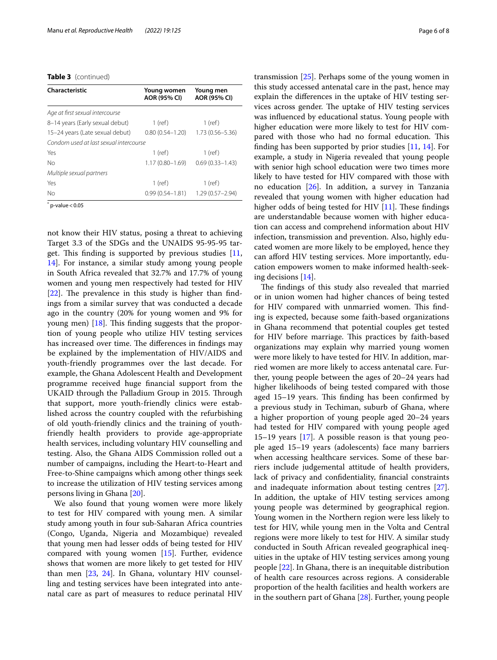**Table 3** (continued)

| Characteristic                         | Young women<br>AOR (95% CI) | Young men<br>AOR (95% CI) |  |
|----------------------------------------|-----------------------------|---------------------------|--|
| Age at first sexual intercourse        |                             |                           |  |
| 8-14 years (Early sexual debut)        | $1$ (ref)                   | $1$ (ref)                 |  |
| 15-24 years (Late sexual debut)        | $0.80(0.54 - 1.20)$         | $1.73(0.56 - 5.36)$       |  |
| Condom used at last sexual intercourse |                             |                           |  |
| Yes                                    | $1$ (ref)                   | $1$ (ref)                 |  |
| No                                     | $1.17(0.80 - 1.69)$         | $0.69(0.33 - 1.43)$       |  |
| Multiple sexual partners               |                             |                           |  |
| Yes                                    | $1$ (ref)                   | $1$ (ref)                 |  |
| No                                     | $0.99(0.54 - 1.81)$         | $1.29(0.57 - 2.94)$       |  |

 $*$  p-value  $<$  0.05

not know their HIV status, posing a threat to achieving Target 3.3 of the SDGs and the UNAIDS 95-95-95 target. This finding is supported by previous studies  $[11,$  $[11,$ [14\]](#page-7-13). For instance, a similar study among young people in South Africa revealed that 32.7% and 17.7% of young women and young men respectively had tested for HIV  $[22]$  $[22]$ . The prevalence in this study is higher than findings from a similar survey that was conducted a decade ago in the country (20% for young women and 9% for young men)  $[18]$  $[18]$ . This finding suggests that the proportion of young people who utilize HIV testing services has increased over time. The differences in findings may be explained by the implementation of HIV/AIDS and youth-friendly programmes over the last decade. For example, the Ghana Adolescent Health and Development programme received huge fnancial support from the UKAID through the Palladium Group in 2015. Through that support, more youth-friendly clinics were established across the country coupled with the refurbishing of old youth-friendly clinics and the training of youthfriendly health providers to provide age-appropriate health services, including voluntary HIV counselling and testing. Also, the Ghana AIDS Commission rolled out a number of campaigns, including the Heart-to-Heart and Free-to-Shine campaigns which among other things seek to increase the utilization of HIV testing services among persons living in Ghana [[20\]](#page-7-19).

We also found that young women were more likely to test for HIV compared with young men. A similar study among youth in four sub-Saharan Africa countries (Congo, Uganda, Nigeria and Mozambique) revealed that young men had lesser odds of being tested for HIV compared with young women [\[15\]](#page-7-14). Further, evidence shows that women are more likely to get tested for HIV than men [[23,](#page-7-22) [24](#page-7-23)]. In Ghana, voluntary HIV counselling and testing services have been integrated into antenatal care as part of measures to reduce perinatal HIV transmission [\[25](#page-7-24)]. Perhaps some of the young women in this study accessed antenatal care in the past, hence may explain the diferences in the uptake of HIV testing services across gender. The uptake of HIV testing services was infuenced by educational status. Young people with higher education were more likely to test for HIV compared with those who had no formal education. This finding has been supported by prior studies  $[11, 14]$  $[11, 14]$  $[11, 14]$  $[11, 14]$  $[11, 14]$ . For example, a study in Nigeria revealed that young people with senior high school education were two times more likely to have tested for HIV compared with those with no education [[26\]](#page-7-25). In addition, a survey in Tanzania revealed that young women with higher education had higher odds of being tested for HIV  $[11]$  $[11]$  $[11]$ . These findings are understandable because women with higher education can access and comprehend information about HIV infection, transmission and prevention. Also, highly educated women are more likely to be employed, hence they can afford HIV testing services. More importantly, education empowers women to make informed health-seeking decisions [\[14](#page-7-13)].

The findings of this study also revealed that married or in union women had higher chances of being tested for HIV compared with unmarried women. This finding is expected, because some faith-based organizations in Ghana recommend that potential couples get tested for HIV before marriage. This practices by faith-based organizations may explain why married young women were more likely to have tested for HIV. In addition, married women are more likely to access antenatal care. Further, young people between the ages of 20–24 years had higher likelihoods of being tested compared with those aged  $15-19$  years. This finding has been confirmed by a previous study in Techiman, suburb of Ghana, where a higher proportion of young people aged 20–24 years had tested for HIV compared with young people aged 15–19 years [\[17](#page-7-16)]. A possible reason is that young people aged 15–19 years (adolescents) face many barriers when accessing healthcare services. Some of these barriers include judgemental attitude of health providers, lack of privacy and confdentiality, fnancial constraints and inadequate information about testing centres [\[27](#page-7-26)]. In addition, the uptake of HIV testing services among young people was determined by geographical region. Young women in the Northern region were less likely to test for HIV, while young men in the Volta and Central regions were more likely to test for HIV. A similar study conducted in South African revealed geographical inequities in the uptake of HIV testing services among young people [[22](#page-7-21)]. In Ghana, there is an inequitable distribution of health care resources across regions. A considerable proportion of the health facilities and health workers are in the southern part of Ghana [[28](#page-7-27)]. Further, young people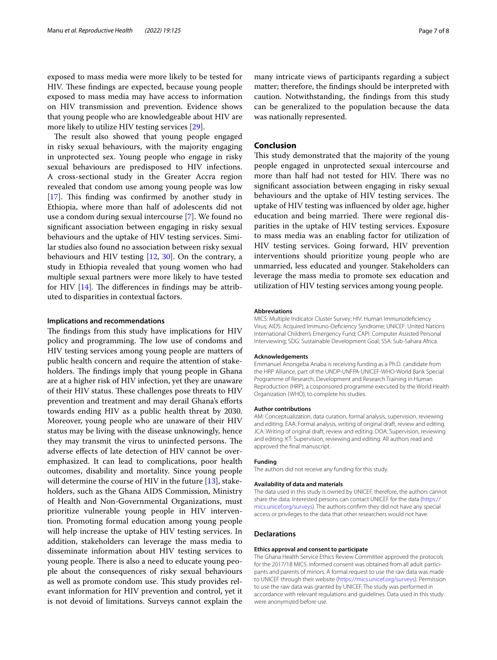exposed to mass media were more likely to be tested for HIV. These findings are expected, because young people exposed to mass media may have access to information on HIV transmission and prevention. Evidence shows that young people who are knowledgeable about HIV are more likely to utilize HIV testing services [\[29](#page-7-28)].

The result also showed that young people engaged in risky sexual behaviours, with the majority engaging in unprotected sex. Young people who engage in risky sexual behaviours are predisposed to HIV infections. A cross-sectional study in the Greater Accra region revealed that condom use among young people was low  $[17]$  $[17]$ . This finding was confirmed by another study in Ethiopia, where more than half of adolescents did not use a condom during sexual intercourse [[7\]](#page-7-6). We found no signifcant association between engaging in risky sexual behaviours and the uptake of HIV testing services. Similar studies also found no association between risky sexual behaviours and HIV testing  $[12, 30]$  $[12, 30]$  $[12, 30]$  $[12, 30]$  $[12, 30]$ . On the contrary, a study in Ethiopia revealed that young women who had multiple sexual partners were more likely to have tested for HIV  $[14]$  $[14]$ . The differences in findings may be attributed to disparities in contextual factors.

## **Implications and recommendations**

The findings from this study have implications for HIV policy and programming. The low use of condoms and HIV testing services among young people are matters of public health concern and require the attention of stakeholders. The findings imply that young people in Ghana are at a higher risk of HIV infection, yet they are unaware of their HIV status. These challenges pose threats to HIV prevention and treatment and may derail Ghana's eforts towards ending HIV as a public health threat by 2030. Moreover, young people who are unaware of their HIV status may be living with the disease unknowingly, hence they may transmit the virus to uninfected persons. The adverse efects of late detection of HIV cannot be overemphasized. It can lead to complications, poor health outcomes, disability and mortality. Since young people will determine the course of HIV in the future [[13](#page-7-12)], stakeholders, such as the Ghana AIDS Commission, Ministry of Health and Non-Governmental Organizations, must prioritize vulnerable young people in HIV intervention. Promoting formal education among young people will help increase the uptake of HIV testing services. In addition, stakeholders can leverage the mass media to disseminate information about HIV testing services to young people. There is also a need to educate young people about the consequences of risky sexual behaviours as well as promote condom use. This study provides relevant information for HIV prevention and control, yet it is not devoid of limitations. Surveys cannot explain the

many intricate views of participants regarding a subject matter; therefore, the fndings should be interpreted with caution. Notwithstanding, the fndings from this study can be generalized to the population because the data was nationally represented.

## **Conclusion**

This study demonstrated that the majority of the young people engaged in unprotected sexual intercourse and more than half had not tested for HIV. There was no signifcant association between engaging in risky sexual behaviours and the uptake of HIV testing services. The uptake of HIV testing was infuenced by older age, higher education and being married. There were regional disparities in the uptake of HIV testing services. Exposure to mass media was an enabling factor for utilization of HIV testing services. Going forward, HIV prevention interventions should prioritize young people who are unmarried, less educated and younger. Stakeholders can leverage the mass media to promote sex education and utilization of HIV testing services among young people.

#### **Abbreviations**

MICS: Multiple Indicator Cluster Survey; HIV: Human Immunodefciency Virus; AIDS: Acquired Immuno-Defciency Syndrome; UNICEF: United Nations International Children's Emergency Fund; CAPI: Computer Assisted Personal Interviewing; SDG: Sustainable Development Goal; SSA: Sub-Sahara Africa.

#### **Acknowledgements**

Emmanuel Anongeba Anaba is receiving funding as a Ph.D. candidate from the HRP Alliance, part of the UNDP-UNFPA-UNICEF-WHO-World Bank Special Programme of Research, Development and Research Training in Human Reproduction (HRP), a cosponsored programme executed by the World Health Organization (WHO), to complete his studies.

#### **Author contributions**

AM: Conceptualization, data curation, formal analysis, supervision, reviewing and editing. EAA: Formal analysis, writing of original draft, review and editing. JCA: Writing of original draft, review and editing. DOA: Supervision, reviewing and editing. KT: Supervision, reviewing and editing. All authors read and approved the fnal manuscript.

#### **Funding**

The authors did not receive any funding for this study.

#### **Availability of data and materials**

The data used in this study is owned by UNICEF, therefore, the authors cannot share the data. Interested persons can contact UNICEF for the data [\(https://](https://mics.unicef.org/surveys) [mics.unicef.org/surveys\)](https://mics.unicef.org/surveys). The authors confrm they did not have any special access or privileges to the data that other researchers would not have.

#### **Declarations**

## **Ethics approval and consent to participate**

The Ghana Health Service Ethics Review Committee approved the protocols for the 2017/18 MICS. Informed consent was obtained from all adult participants and parents of minors. A formal request to use the raw data was made to UNICEF through their website [\(https://mics.unicef.org/surveys](https://mics.unicef.org/surveys)). Permission to use the raw data was granted by UNICEF. The study was performed in accordance with relevant regulations and guidelines. Data used in this study were anonymized before use.